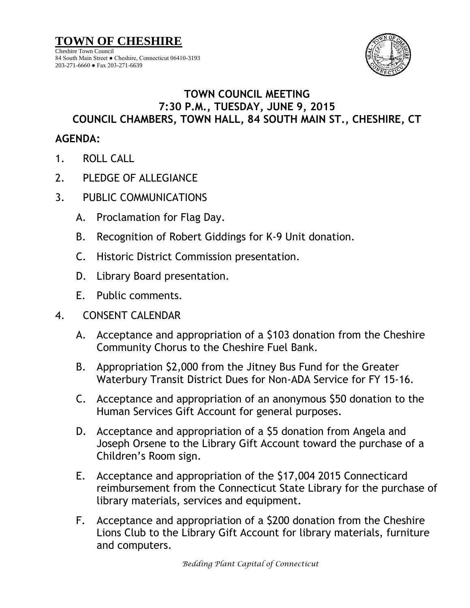

## **TOWN COUNCIL MEETING 7:30 P.M., TUESDAY, JUNE 9, 2015 COUNCIL CHAMBERS, TOWN HALL, 84 SOUTH MAIN ST., CHESHIRE, CT**

## **AGENDA:**

- 1. ROLL CALL
- 2. PLEDGE OF ALLEGIANCE
- 3. PUBLIC COMMUNICATIONS
	- A. Proclamation for Flag Day.
	- B. Recognition of Robert Giddings for K-9 Unit donation.
	- C. Historic District Commission presentation.
	- D. Library Board presentation.
	- E. Public comments.

## 4. CONSENT CALENDAR

- A. Acceptance and appropriation of a \$103 donation from the Cheshire Community Chorus to the Cheshire Fuel Bank.
- B. Appropriation \$2,000 from the Jitney Bus Fund for the Greater Waterbury Transit District Dues for Non-ADA Service for FY 15-16.
- C. Acceptance and appropriation of an anonymous \$50 donation to the Human Services Gift Account for general purposes.
- D. Acceptance and appropriation of a \$5 donation from Angela and Joseph Orsene to the Library Gift Account toward the purchase of a Children's Room sign.
- E. Acceptance and appropriation of the \$17,004 2015 Connecticard reimbursement from the Connecticut State Library for the purchase of library materials, services and equipment.
- F. Acceptance and appropriation of a \$200 donation from the Cheshire Lions Club to the Library Gift Account for library materials, furniture and computers.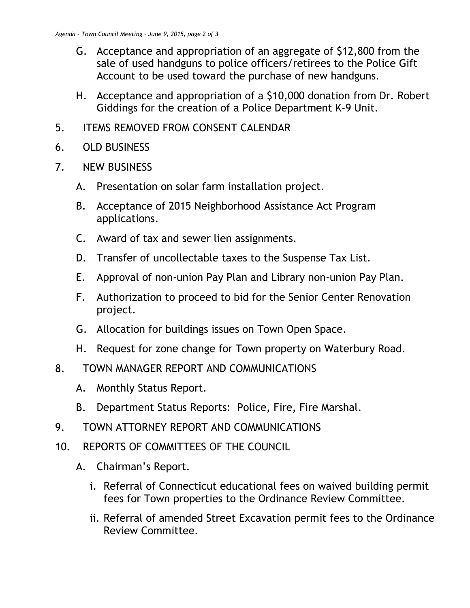- G. Acceptance and appropriation of an aggregate of \$12,800 from the sale of used handguns to police officers/retirees to the Police Gift Account to be used toward the purchase of new handguns.
- H. Acceptance and appropriation of a \$10,000 donation from Dr. Robert Giddings for the creation of a Police Department K-9 Unit.
- 5. ITEMS REMOVED FROM CONSENT CALENDAR
- 6. OLD BUSINESS
- 7. NEW BUSINESS
	- A. Presentation on solar farm installation project.
	- B. Acceptance of 2015 Neighborhood Assistance Act Program applications.
	- C. Award of tax and sewer lien assignments.
	- D. Transfer of uncollectable taxes to the Suspense Tax List.
	- E. Approval of non-union Pay Plan and Library non-union Pay Plan.
	- F. Authorization to proceed to bid for the Senior Center Renovation project.
	- G. Allocation for buildings issues on Town Open Space.
	- H. Request for zone change for Town property on Waterbury Road.
- 8. TOWN MANAGER REPORT AND COMMUNICATIONS
	- A. Monthly Status Report.
	- B. Department Status Reports: Police, Fire, Fire Marshal.
- 9. TOWN ATTORNEY REPORT AND COMMUNICATIONS
- 10. REPORTS OF COMMITTEES OF THE COUNCIL
	- A. Chairman's Report.
		- i. Referral of Connecticut educational fees on waived building permit fees for Town properties to the Ordinance Review Committee.
		- ii. Referral of amended Street Excavation permit fees to the Ordinance Review Committee.